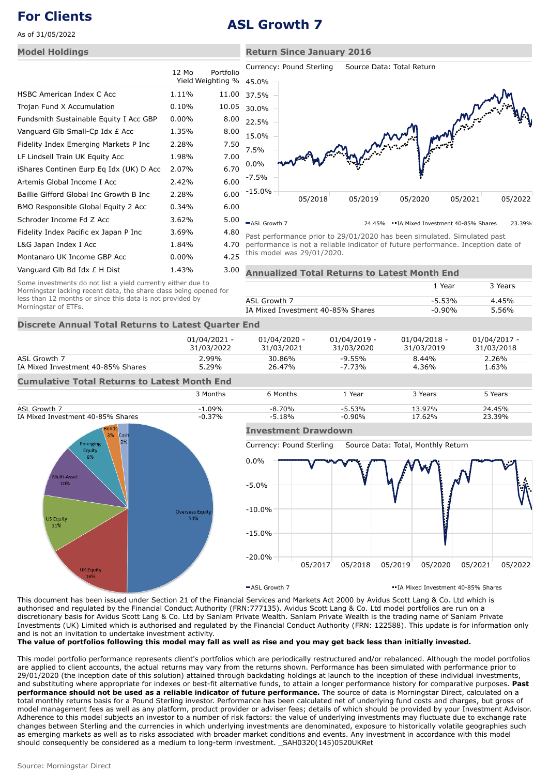As of 31/05/2022

## **Model Holdings**

|          |       | Currency: Pound Sterling<br>Source Data: Total Return          |
|----------|-------|----------------------------------------------------------------|
|          |       | 45.0%                                                          |
| 1.11%    | 11.00 | 37.5%                                                          |
| 0.10%    | 10.05 | 30.0%                                                          |
| $0.00\%$ | 8.00  | 22.5%                                                          |
| 1.35%    | 8.00  | 15.0%                                                          |
| 2.28%    | 7.50  | 7.5%                                                           |
| 1.98%    | 7.00  |                                                                |
| 2.07%    | 6.70  | 0.0%                                                           |
| 2.42%    | 6.00  | $-7.5%$                                                        |
| 2.28%    | 6.00  | -15.0%<br>05/2019<br>05/2020<br>05<br>05/2018                  |
| 0.34%    | 6.00  |                                                                |
| 3.62%    | 5.00  | -ASL Growth 7<br>• IA Mixed Investment 4<br>24.45%             |
| 3.69%    | 4.80  | Past performance prior to 29/01/2020 has been simulated. S     |
| 1.84%    | 4.70  | performance is not a reliable indicator of future performance. |
| $0.00\%$ | 4.25  | this model was 29/01/2020.                                     |
| 1.43%    | 3.00  | nnualized Total Returns to Latest Month End                    |
|          | 12 Mo | Portfolio<br>Yield Weighting %                                 |



ASL Growth 7 24.45% IA Mixed Investment 40-85% Shares 23.39% Past performance prior to 29/01/2020 has been simulated. Simulated past

performance is not a reliable indicator of future performance. Inception date of this model was 29/01/2020.

| Some investments do not list a yield currently either due to      |
|-------------------------------------------------------------------|
| Morningstar lacking recent data, the share class being opened for |
| less than 12 months or since this data is not provided by         |
| Morningstar of ETFs.                                              |

|                                   | 1 Year   | 3 Years |
|-----------------------------------|----------|---------|
| ASL Growth 7                      | $-5.53%$ | 4.45%   |
| IA Mixed Investment 40-85% Shares | -0.90%   | 5.56%   |
|                                   |          |         |

# **Discrete Annual Total Returns to Latest Quarter End**

|                                                     | 01/04/2021 -<br>31/03/2022 | $01/04/2020 -$<br>31/03/2021 | 01/04/2019 -<br>31/03/2020 | $01/04/2018 -$<br>31/03/2019 | $01/04/2017 -$<br>31/03/2018 |
|-----------------------------------------------------|----------------------------|------------------------------|----------------------------|------------------------------|------------------------------|
| ASL Growth 7                                        | $2.99\%$                   | 30.86%                       | $-9.55\%$                  | $8.44\%$                     | 2.26%                        |
| IA Mixed Investment 40-85% Shares                   | $5.29\%$                   | 26.47%                       | $-7.73%$                   | 4.36%                        | 1.63%                        |
| <b>Cumulative Total Returns to Latest Month End</b> |                            |                              |                            |                              |                              |





### **Investment Drawdown**

Currency: Pound Sterling Source Data: Total, Monthly Return



ASL Growth 7 IA Mixed Investment 40-85% Shares

This document has been issued under Section 21 of the Financial Services and Markets Act 2000 by Avidus Scott Lang & Co. Ltd which is authorised and regulated by the Financial Conduct Authority (FRN:777135). Avidus Scott Lang & Co. Ltd model portfolios are run on a discretionary basis for Avidus Scott Lang & Co. Ltd by Sanlam Private Wealth. Sanlam Private Wealth is the trading name of Sanlam Private Investments (UK) Limited which is authorised and regulated by the Financial Conduct Authority (FRN: 122588). This update is for information only and is not an invitation to undertake investment activity.

**The value of portfolios following this model may fall as well as rise and you may get back less than initially invested.**

This model portfolio performance represents client's portfolios which are periodically restructured and/or rebalanced. Although the model portfolios are applied to client accounts, the actual returns may vary from the returns shown. Performance has been simulated with performance prior to 29/01/2020 (the inception date of this solution) attained through backdating holdings at launch to the inception of these individual investments, and substituting where appropriate for indexes or best-fit alternative funds, to attain a longer performance history for comparative purposes. **Past performance should not be used as a reliable indicator of future performance.** The source of data is Morningstar Direct, calculated on a total monthly returns basis for a Pound Sterling investor. Performance has been calculated net of underlying fund costs and charges, but gross of model management fees as well as any platform, product provider or adviser fees; details of which should be provided by your Investment Advisor. Adherence to this model subjects an investor to a number of risk factors: the value of underlying investments may fluctuate due to exchange rate changes between Sterling and the currencies in which underlying investments are denominated, exposure to historically volatile geographies such as emerging markets as well as to risks associated with broader market conditions and events. Any investment in accordance with this model should consequently be considered as a medium to long-term investment. \_SAH0320(145)0520UKRet

# **For Clients ASL Growth 7**

## **Return Since January 2016**

Currency: Pound Sterling Source Data: Total Return